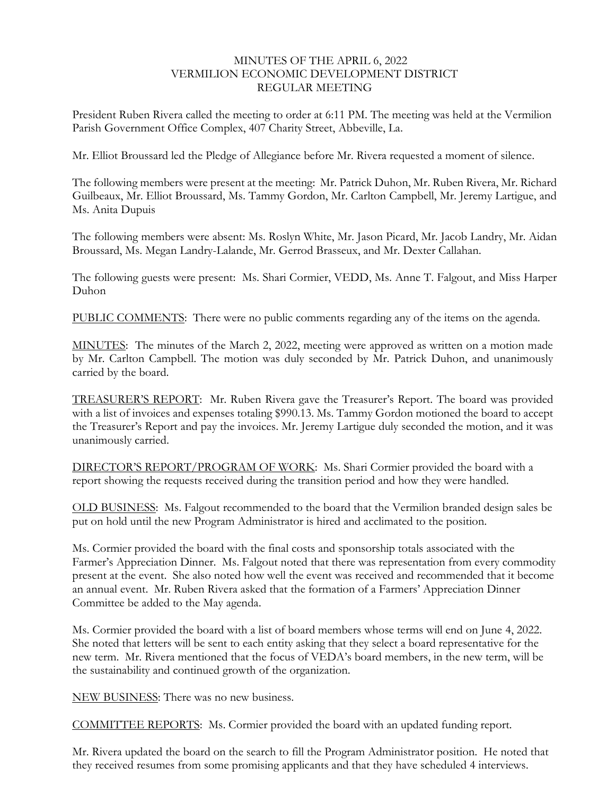## MINUTES OF THE APRIL 6, 2022 VERMILION ECONOMIC DEVELOPMENT DISTRICT REGULAR MEETING

President Ruben Rivera called the meeting to order at 6:11 PM. The meeting was held at the Vermilion Parish Government Office Complex, 407 Charity Street, Abbeville, La.

Mr. Elliot Broussard led the Pledge of Allegiance before Mr. Rivera requested a moment of silence.

The following members were present at the meeting: Mr. Patrick Duhon, Mr. Ruben Rivera, Mr. Richard Guilbeaux, Mr. Elliot Broussard, Ms. Tammy Gordon, Mr. Carlton Campbell, Mr. Jeremy Lartigue, and Ms. Anita Dupuis

The following members were absent: Ms. Roslyn White, Mr. Jason Picard, Mr. Jacob Landry, Mr. Aidan Broussard, Ms. Megan Landry-Lalande, Mr. Gerrod Brasseux, and Mr. Dexter Callahan.

The following guests were present: Ms. Shari Cormier, VEDD, Ms. Anne T. Falgout, and Miss Harper Duhon

PUBLIC COMMENTS: There were no public comments regarding any of the items on the agenda.

MINUTES: The minutes of the March 2, 2022, meeting were approved as written on a motion made by Mr. Carlton Campbell. The motion was duly seconded by Mr. Patrick Duhon, and unanimously carried by the board.

TREASURER'S REPORT: Mr. Ruben Rivera gave the Treasurer's Report. The board was provided with a list of invoices and expenses totaling \$990.13. Ms. Tammy Gordon motioned the board to accept the Treasurer's Report and pay the invoices. Mr. Jeremy Lartigue duly seconded the motion, and it was unanimously carried.

DIRECTOR'S REPORT/PROGRAM OF WORK: Ms. Shari Cormier provided the board with a report showing the requests received during the transition period and how they were handled.

OLD BUSINESS: Ms. Falgout recommended to the board that the Vermilion branded design sales be put on hold until the new Program Administrator is hired and acclimated to the position.

Ms. Cormier provided the board with the final costs and sponsorship totals associated with the Farmer's Appreciation Dinner. Ms. Falgout noted that there was representation from every commodity present at the event. She also noted how well the event was received and recommended that it become an annual event. Mr. Ruben Rivera asked that the formation of a Farmers' Appreciation Dinner Committee be added to the May agenda.

Ms. Cormier provided the board with a list of board members whose terms will end on June 4, 2022. She noted that letters will be sent to each entity asking that they select a board representative for the new term. Mr. Rivera mentioned that the focus of VEDA's board members, in the new term, will be the sustainability and continued growth of the organization.

NEW BUSINESS: There was no new business.

COMMITTEE REPORTS: Ms. Cormier provided the board with an updated funding report.

Mr. Rivera updated the board on the search to fill the Program Administrator position. He noted that they received resumes from some promising applicants and that they have scheduled 4 interviews.